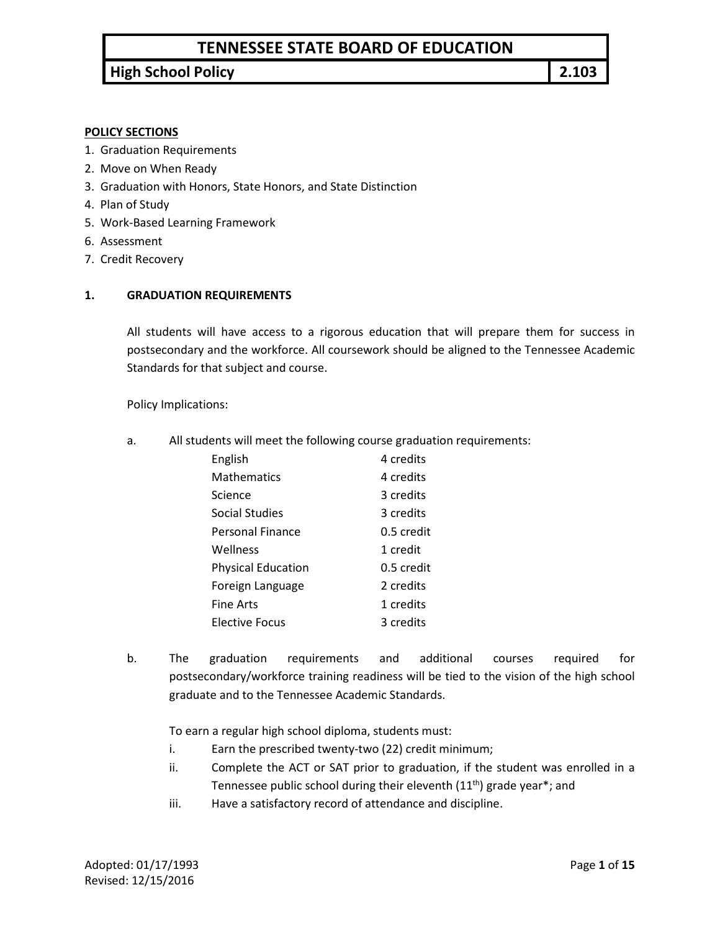# **TENNESSEE STATE BOARD OF EDUCATION**

# **High School Policy 2.103**

#### **POLICY SECTIONS**

- 1. Graduation Requirements
- 2. Move on When Ready
- 3. Graduation with Honors, State Honors, and State Distinction
- 4. Plan of Study
- 5. Work-Based Learning Framework
- 6. Assessment
- 7. Credit Recovery

#### **1. GRADUATION REQUIREMENTS**

All students will have access to a rigorous education that will prepare them for success in postsecondary and the workforce. All coursework should be aligned to the Tennessee Academic Standards for that subject and course.

Policy Implications:

a. All students will meet the following course graduation requirements:

| English                   | 4 credits  |
|---------------------------|------------|
| <b>Mathematics</b>        | 4 credits  |
| Science                   | 3 credits  |
| Social Studies            | 3 credits  |
| Personal Finance          | 0.5 credit |
| Wellness                  | 1 credit   |
| <b>Physical Education</b> | 0.5 credit |
| Foreign Language          | 2 credits  |
| Fine Arts                 | 1 credits  |
| <b>Elective Focus</b>     | 3 credits  |

b. The graduation requirements and additional courses required for postsecondary/workforce training readiness will be tied to the vision of the high school graduate and to the Tennessee Academic Standards.

To earn a regular high school diploma, students must:

- i. Earn the prescribed twenty-two (22) credit minimum;
- ii. Complete the ACT or SAT prior to graduation, if the student was enrolled in a Tennessee public school during their eleventh  $(11<sup>th</sup>)$  grade year<sup>\*</sup>; and
- iii. Have a satisfactory record of attendance and discipline.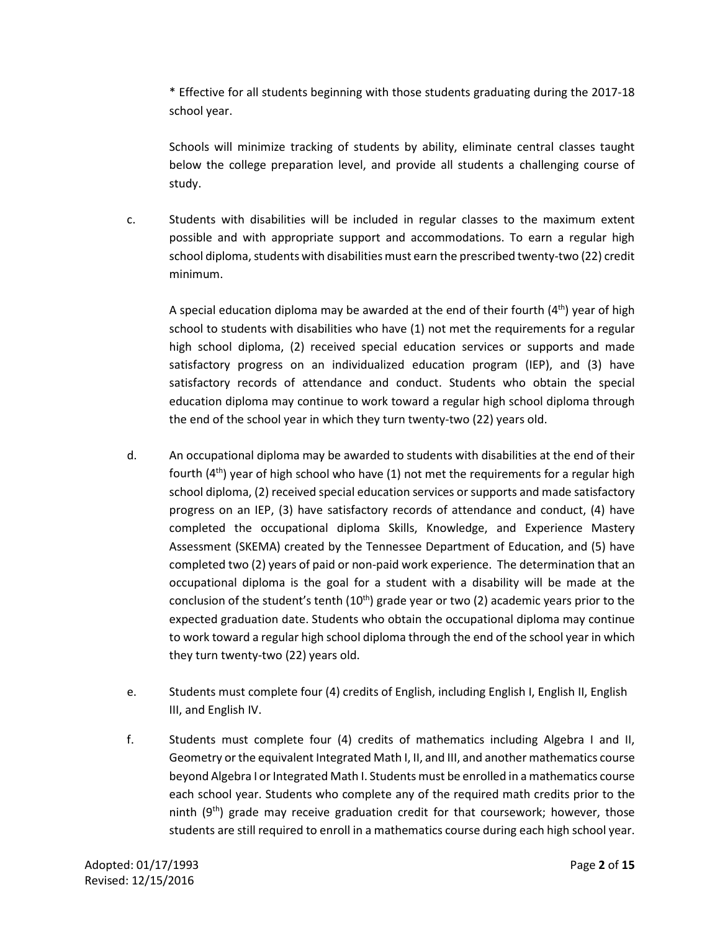\* Effective for all students beginning with those students graduating during the 2017-18 school year.

Schools will minimize tracking of students by ability, eliminate central classes taught below the college preparation level, and provide all students a challenging course of study.

c. Students with disabilities will be included in regular classes to the maximum extent possible and with appropriate support and accommodations. To earn a regular high school diploma, students with disabilities must earn the prescribed twenty-two (22) credit minimum.

A special education diploma may be awarded at the end of their fourth  $(4<sup>th</sup>)$  year of high school to students with disabilities who have (1) not met the requirements for a regular high school diploma, (2) received special education services or supports and made satisfactory progress on an individualized education program (IEP), and (3) have satisfactory records of attendance and conduct. Students who obtain the special education diploma may continue to work toward a regular high school diploma through the end of the school year in which they turn twenty-two (22) years old.

- d. An occupational diploma may be awarded to students with disabilities at the end of their fourth  $(4<sup>th</sup>)$  year of high school who have  $(1)$  not met the requirements for a regular high school diploma, (2) received special education services or supports and made satisfactory progress on an IEP, (3) have satisfactory records of attendance and conduct, (4) have completed the occupational diploma Skills, Knowledge, and Experience Mastery Assessment (SKEMA) created by the Tennessee Department of Education, and (5) have completed two (2) years of paid or non-paid work experience. The determination that an occupational diploma is the goal for a student with a disability will be made at the conclusion of the student's tenth  $(10<sup>th</sup>)$  grade year or two  $(2)$  academic years prior to the expected graduation date. Students who obtain the occupational diploma may continue to work toward a regular high school diploma through the end of the school year in which they turn twenty-two (22) years old.
- e. Students must complete four (4) credits of English, including English I, English II, English III, and English IV.
- f. Students must complete four (4) credits of mathematics including Algebra I and II, Geometry or the equivalent Integrated Math I, II, and III, and another mathematics course beyond Algebra I or Integrated Math I. Students must be enrolled in a mathematics course each school year. Students who complete any of the required math credits prior to the ninth  $(9<sup>th</sup>)$  grade may receive graduation credit for that coursework; however, those students are still required to enroll in a mathematics course during each high school year.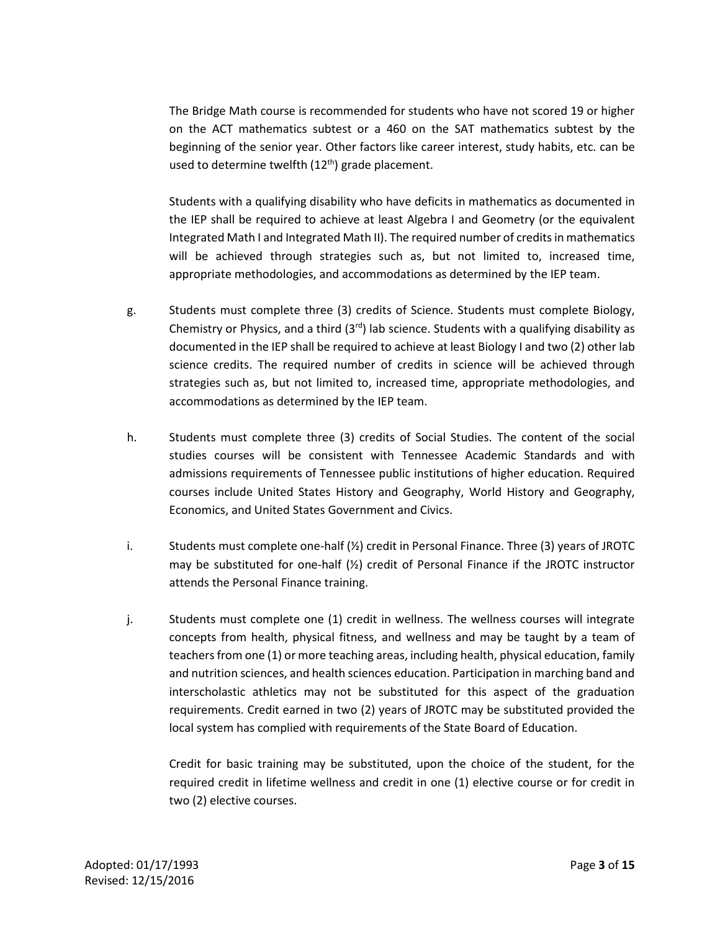The Bridge Math course is recommended for students who have not scored 19 or higher on the ACT mathematics subtest or a 460 on the SAT mathematics subtest by the beginning of the senior year. Other factors like career interest, study habits, etc. can be used to determine twelfth  $(12<sup>th</sup>)$  grade placement.

Students with a qualifying disability who have deficits in mathematics as documented in the IEP shall be required to achieve at least Algebra I and Geometry (or the equivalent Integrated Math I and Integrated Math II). The required number of credits in mathematics will be achieved through strategies such as, but not limited to, increased time, appropriate methodologies, and accommodations as determined by the IEP team.

- g. Students must complete three (3) credits of Science. Students must complete Biology, Chemistry or Physics, and a third  $(3<sup>rd</sup>)$  lab science. Students with a qualifying disability as documented in the IEP shall be required to achieve at least Biology I and two (2) other lab science credits. The required number of credits in science will be achieved through strategies such as, but not limited to, increased time, appropriate methodologies, and accommodations as determined by the IEP team.
- h. Students must complete three (3) credits of Social Studies. The content of the social studies courses will be consistent with Tennessee Academic Standards and with admissions requirements of Tennessee public institutions of higher education. Required courses include United States History and Geography, World History and Geography, Economics, and United States Government and Civics.
- i. Students must complete one-half (½) credit in Personal Finance. Three (3) years of JROTC may be substituted for one-half  $(\frac{1}{2})$  credit of Personal Finance if the JROTC instructor attends the Personal Finance training.
- j. Students must complete one (1) credit in wellness. The wellness courses will integrate concepts from health, physical fitness, and wellness and may be taught by a team of teachers from one (1) or more teaching areas, including health, physical education, family and nutrition sciences, and health sciences education. Participation in marching band and interscholastic athletics may not be substituted for this aspect of the graduation requirements. Credit earned in two (2) years of JROTC may be substituted provided the local system has complied with requirements of the State Board of Education.

Credit for basic training may be substituted, upon the choice of the student, for the required credit in lifetime wellness and credit in one (1) elective course or for credit in two (2) elective courses.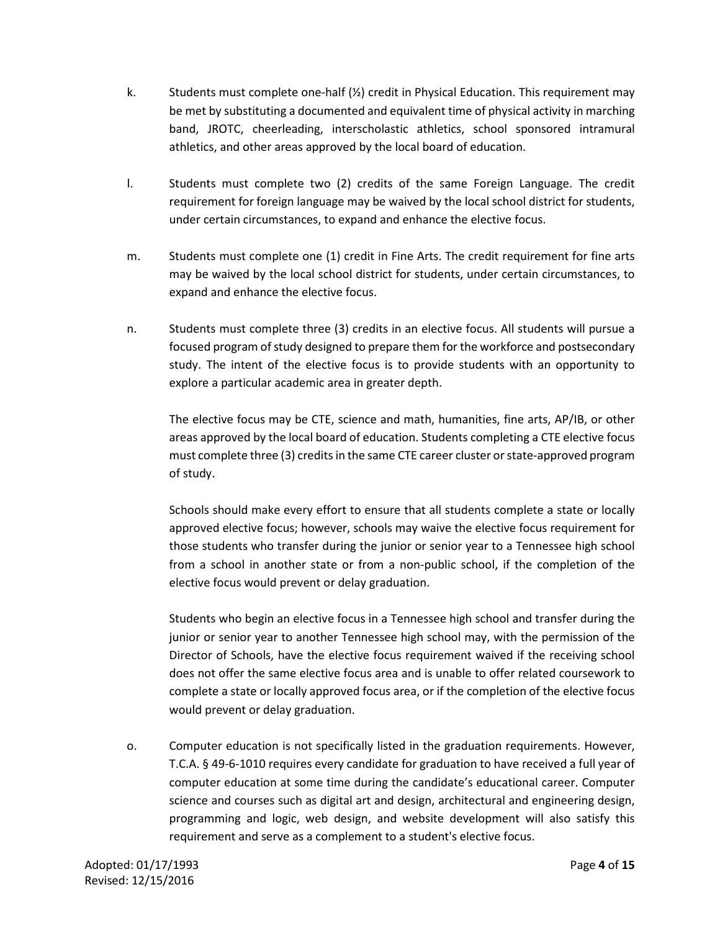- k. Students must complete one-half  $(\frac{1}{2})$  credit in Physical Education. This requirement may be met by substituting a documented and equivalent time of physical activity in marching band, JROTC, cheerleading, interscholastic athletics, school sponsored intramural athletics, and other areas approved by the local board of education.
- l. Students must complete two (2) credits of the same Foreign Language. The credit requirement for foreign language may be waived by the local school district for students, under certain circumstances, to expand and enhance the elective focus.
- m. Students must complete one (1) credit in Fine Arts. The credit requirement for fine arts may be waived by the local school district for students, under certain circumstances, to expand and enhance the elective focus.
- n. Students must complete three (3) credits in an elective focus. All students will pursue a focused program of study designed to prepare them for the workforce and postsecondary study. The intent of the elective focus is to provide students with an opportunity to explore a particular academic area in greater depth.

The elective focus may be CTE, science and math, humanities, fine arts, AP/IB, or other areas approved by the local board of education. Students completing a CTE elective focus must complete three (3) creditsin the same CTE career cluster or state-approved program of study.

Schools should make every effort to ensure that all students complete a state or locally approved elective focus; however, schools may waive the elective focus requirement for those students who transfer during the junior or senior year to a Tennessee high school from a school in another state or from a non-public school, if the completion of the elective focus would prevent or delay graduation.

Students who begin an elective focus in a Tennessee high school and transfer during the junior or senior year to another Tennessee high school may, with the permission of the Director of Schools, have the elective focus requirement waived if the receiving school does not offer the same elective focus area and is unable to offer related coursework to complete a state or locally approved focus area, or if the completion of the elective focus would prevent or delay graduation.

o. Computer education is not specifically listed in the graduation requirements. However, T.C.A. § 49-6-1010 requires every candidate for graduation to have received a full year of computer education at some time during the candidate's educational career. Computer science and courses such as digital art and design, architectural and engineering design, programming and logic, web design, and website development will also satisfy this requirement and serve as a complement to a student's elective focus.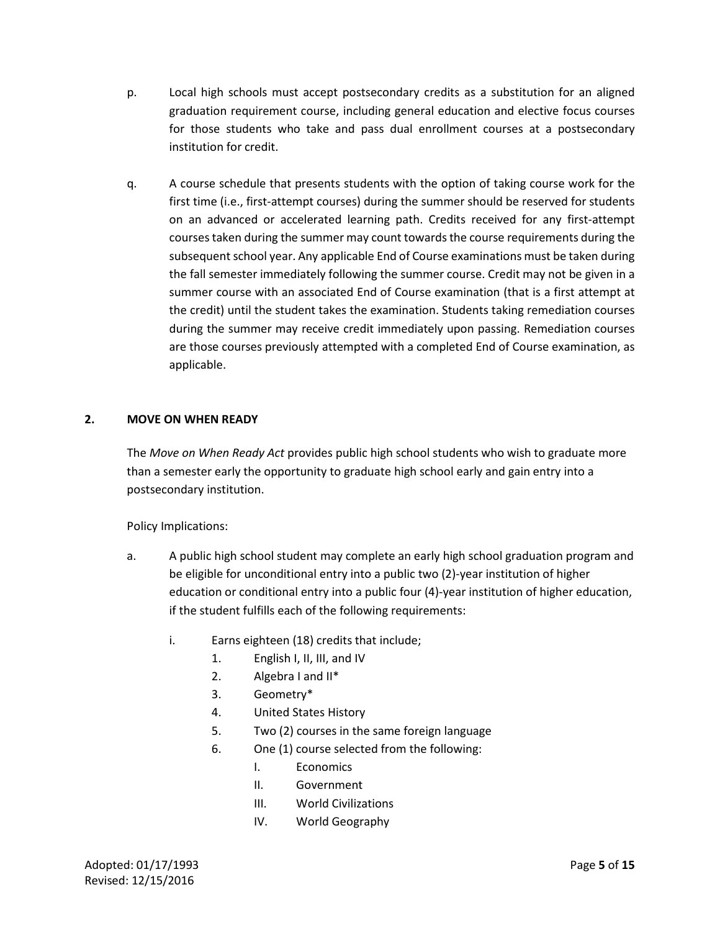- p. Local high schools must accept postsecondary credits as a substitution for an aligned graduation requirement course, including general education and elective focus courses for those students who take and pass dual enrollment courses at a postsecondary institution for credit.
- q. A course schedule that presents students with the option of taking course work for the first time (i.e., first-attempt courses) during the summer should be reserved for students on an advanced or accelerated learning path. Credits received for any first-attempt courses taken during the summer may count towards the course requirements during the subsequent school year. Any applicable End of Course examinations must be taken during the fall semester immediately following the summer course. Credit may not be given in a summer course with an associated End of Course examination (that is a first attempt at the credit) until the student takes the examination. Students taking remediation courses during the summer may receive credit immediately upon passing. Remediation courses are those courses previously attempted with a completed End of Course examination, as applicable.

## **2. MOVE ON WHEN READY**

The *Move on When Ready Act* provides public high school students who wish to graduate more than a semester early the opportunity to graduate high school early and gain entry into a postsecondary institution.

Policy Implications:

- a. A public high school student may complete an early high school graduation program and be eligible for unconditional entry into a public two (2)-year institution of higher education or conditional entry into a public four (4)-year institution of higher education, if the student fulfills each of the following requirements:
	- i. Earns eighteen (18) credits that include;
		- 1. English I, II, III, and IV
		- 2. Algebra I and II\*
		- 3. Geometry\*
		- 4. United States History
		- 5. Two (2) courses in the same foreign language
		- 6. One (1) course selected from the following:
			- I. Economics
			- II. Government
			- III. World Civilizations
			- IV. World Geography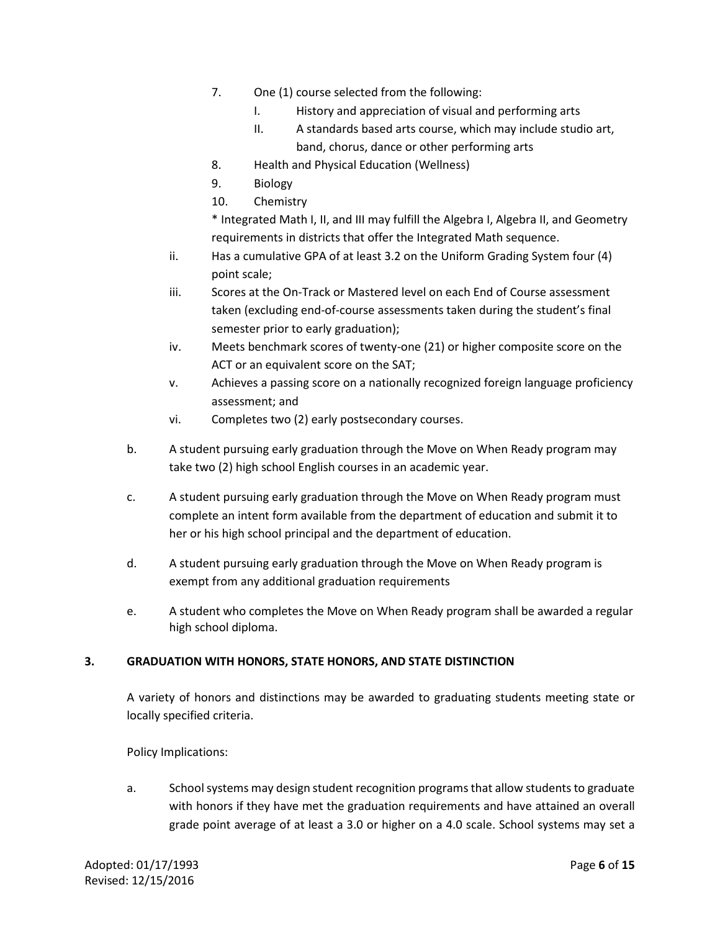- 7. One (1) course selected from the following:
	- I. History and appreciation of visual and performing arts
	- II. A standards based arts course, which may include studio art, band, chorus, dance or other performing arts
- 8. Health and Physical Education (Wellness)
- 9. Biology
- 10. Chemistry

\* Integrated Math I, II, and III may fulfill the Algebra I, Algebra II, and Geometry requirements in districts that offer the Integrated Math sequence.

- ii. Has a cumulative GPA of at least 3.2 on the Uniform Grading System four (4) point scale;
- iii. Scores at the On-Track or Mastered level on each End of Course assessment taken (excluding end-of-course assessments taken during the student's final semester prior to early graduation);
- iv. Meets benchmark scores of twenty-one (21) or higher composite score on the ACT or an equivalent score on the SAT;
- v. Achieves a passing score on a nationally recognized foreign language proficiency assessment; and
- vi. Completes two (2) early postsecondary courses.
- b. A student pursuing early graduation through the Move on When Ready program may take two (2) high school English courses in an academic year.
- c. A student pursuing early graduation through the Move on When Ready program must complete an intent form available from the department of education and submit it to her or his high school principal and the department of education.
- d. A student pursuing early graduation through the Move on When Ready program is exempt from any additional graduation requirements
- e. A student who completes the Move on When Ready program shall be awarded a regular high school diploma.

## **3. GRADUATION WITH HONORS, STATE HONORS, AND STATE DISTINCTION**

A variety of honors and distinctions may be awarded to graduating students meeting state or locally specified criteria.

Policy Implications:

a. School systems may design student recognition programs that allow students to graduate with honors if they have met the graduation requirements and have attained an overall grade point average of at least a 3.0 or higher on a 4.0 scale. School systems may set a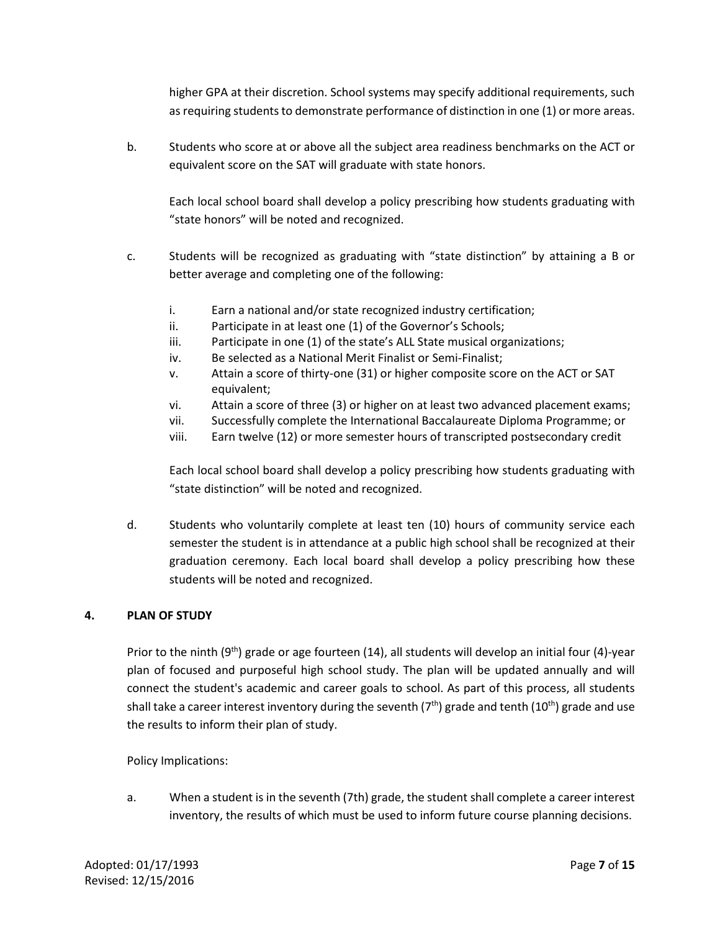higher GPA at their discretion. School systems may specify additional requirements, such as requiring students to demonstrate performance of distinction in one (1) or more areas.

b. Students who score at or above all the subject area readiness benchmarks on the ACT or equivalent score on the SAT will graduate with state honors.

Each local school board shall develop a policy prescribing how students graduating with "state honors" will be noted and recognized.

- c. Students will be recognized as graduating with "state distinction" by attaining a B or better average and completing one of the following:
	- i. Earn a national and/or state recognized industry certification;
	- ii. Participate in at least one (1) of the Governor's Schools;
	- iii. Participate in one (1) of the state's ALL State musical organizations;
	- iv. Be selected as a National Merit Finalist or Semi-Finalist;
	- v. Attain a score of thirty-one (31) or higher composite score on the ACT or SAT equivalent;
	- vi. Attain a score of three (3) or higher on at least two advanced placement exams;
	- vii. Successfully complete the International Baccalaureate Diploma Programme; or
	- viii. Earn twelve (12) or more semester hours of transcripted postsecondary credit

Each local school board shall develop a policy prescribing how students graduating with "state distinction" will be noted and recognized.

d. Students who voluntarily complete at least ten (10) hours of community service each semester the student is in attendance at a public high school shall be recognized at their graduation ceremony. Each local board shall develop a policy prescribing how these students will be noted and recognized.

## **4. PLAN OF STUDY**

Prior to the ninth (9<sup>th</sup>) grade or age fourteen (14), all students will develop an initial four (4)-year plan of focused and purposeful high school study. The plan will be updated annually and will connect the student's academic and career goals to school. As part of this process, all students shall take a career interest inventory during the seventh ( $7<sup>th</sup>$ ) grade and tenth ( $10<sup>th</sup>$ ) grade and use the results to inform their plan of study.

Policy Implications:

a. When a student is in the seventh (7th) grade, the student shall complete a career interest inventory, the results of which must be used to inform future course planning decisions.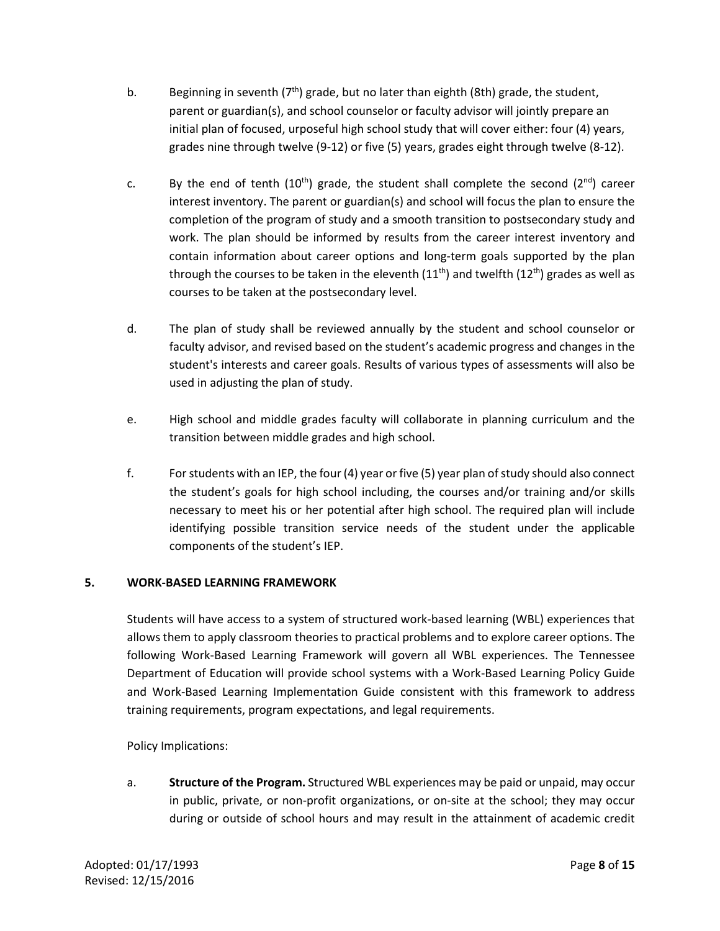- b. Beginning in seventh  $(7<sup>th</sup>)$  grade, but no later than eighth (8th) grade, the student, parent or guardian(s), and school counselor or faculty advisor will jointly prepare an initial plan of focused, urposeful high school study that will cover either: four (4) years, grades nine through twelve (9-12) or five (5) years, grades eight through twelve (8-12).
- c. By the end of tenth (10<sup>th</sup>) grade, the student shall complete the second (2<sup>nd</sup>) career interest inventory. The parent or guardian(s) and school will focus the plan to ensure the completion of the program of study and a smooth transition to postsecondary study and work. The plan should be informed by results from the career interest inventory and contain information about career options and long-term goals supported by the plan through the courses to be taken in the eleventh  $(11<sup>th</sup>)$  and twelfth  $(12<sup>th</sup>)$  grades as well as courses to be taken at the postsecondary level.
- d. The plan of study shall be reviewed annually by the student and school counselor or faculty advisor, and revised based on the student's academic progress and changes in the student's interests and career goals. Results of various types of assessments will also be used in adjusting the plan of study.
- e. High school and middle grades faculty will collaborate in planning curriculum and the transition between middle grades and high school.
- f. For students with an IEP, the four(4) year or five (5) year plan of study should also connect the student's goals for high school including, the courses and/or training and/or skills necessary to meet his or her potential after high school. The required plan will include identifying possible transition service needs of the student under the applicable components of the student's IEP.

## **5. WORK-BASED LEARNING FRAMEWORK**

Students will have access to a system of structured work-based learning (WBL) experiences that allows them to apply classroom theories to practical problems and to explore career options. The following Work-Based Learning Framework will govern all WBL experiences. The Tennessee Department of Education will provide school systems with a Work-Based Learning Policy Guide and Work-Based Learning Implementation Guide consistent with this framework to address training requirements, program expectations, and legal requirements.

Policy Implications:

a. **Structure of the Program.** Structured WBL experiences may be paid or unpaid, may occur in public, private, or non-profit organizations, or on-site at the school; they may occur during or outside of school hours and may result in the attainment of academic credit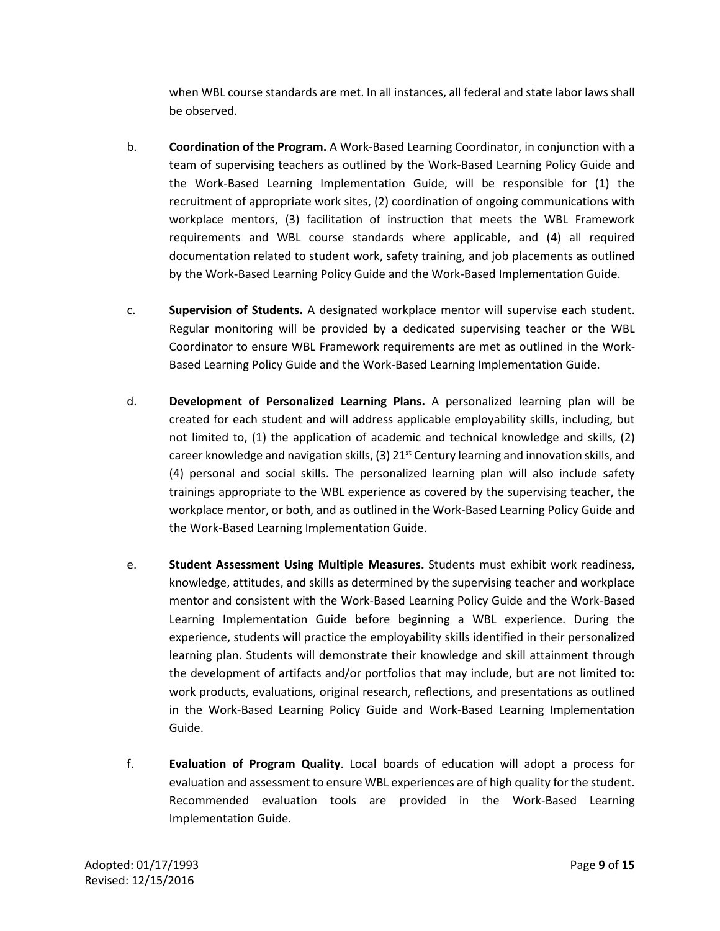when WBL course standards are met. In all instances, all federal and state labor laws shall be observed.

- b. **Coordination of the Program.** A Work-Based Learning Coordinator, in conjunction with a team of supervising teachers as outlined by the Work-Based Learning Policy Guide and the Work-Based Learning Implementation Guide, will be responsible for (1) the recruitment of appropriate work sites, (2) coordination of ongoing communications with workplace mentors, (3) facilitation of instruction that meets the WBL Framework requirements and WBL course standards where applicable, and (4) all required documentation related to student work, safety training, and job placements as outlined by the Work-Based Learning Policy Guide and the Work-Based Implementation Guide.
- c. **Supervision of Students.** A designated workplace mentor will supervise each student. Regular monitoring will be provided by a dedicated supervising teacher or the WBL Coordinator to ensure WBL Framework requirements are met as outlined in the Work-Based Learning Policy Guide and the Work-Based Learning Implementation Guide.
- d. **Development of Personalized Learning Plans.** A personalized learning plan will be created for each student and will address applicable employability skills, including, but not limited to, (1) the application of academic and technical knowledge and skills, (2) career knowledge and navigation skills, (3)  $21^{st}$  Century learning and innovation skills, and (4) personal and social skills. The personalized learning plan will also include safety trainings appropriate to the WBL experience as covered by the supervising teacher, the workplace mentor, or both, and as outlined in the Work-Based Learning Policy Guide and the Work-Based Learning Implementation Guide.
- e. **Student Assessment Using Multiple Measures.** Students must exhibit work readiness, knowledge, attitudes, and skills as determined by the supervising teacher and workplace mentor and consistent with the Work-Based Learning Policy Guide and the Work-Based Learning Implementation Guide before beginning a WBL experience. During the experience, students will practice the employability skills identified in their personalized learning plan. Students will demonstrate their knowledge and skill attainment through the development of artifacts and/or portfolios that may include, but are not limited to: work products, evaluations, original research, reflections, and presentations as outlined in the Work-Based Learning Policy Guide and Work-Based Learning Implementation Guide.
- f. **Evaluation of Program Quality**. Local boards of education will adopt a process for evaluation and assessment to ensure WBL experiences are of high quality for the student. Recommended evaluation tools are provided in the Work-Based Learning Implementation Guide.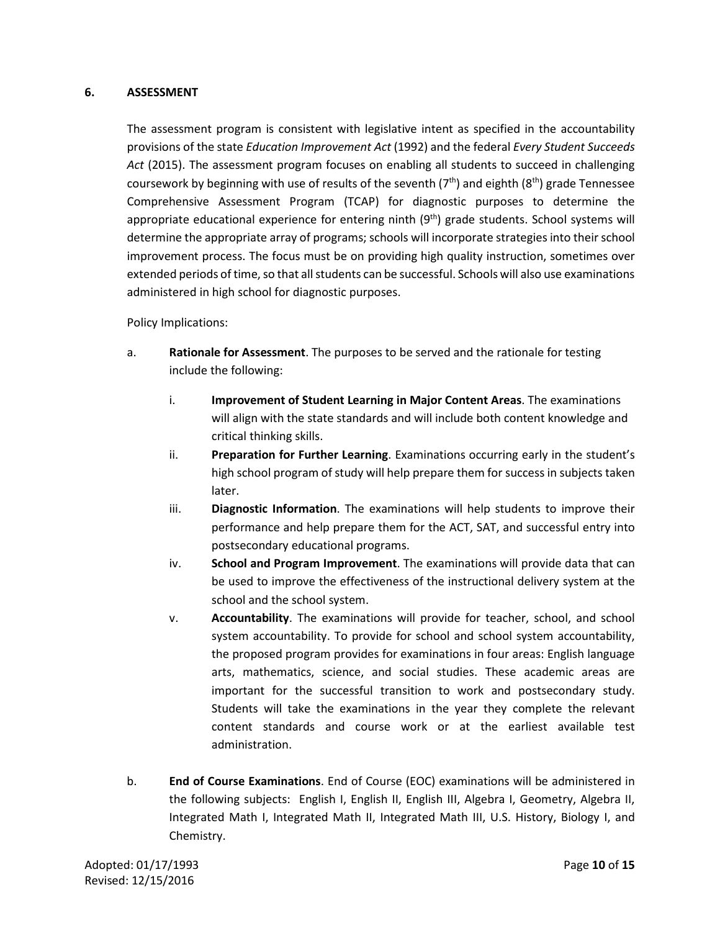## **6. ASSESSMENT**

The assessment program is consistent with legislative intent as specified in the accountability provisions of the state *Education Improvement Act* (1992) and the federal *Every Student Succeeds Act* (2015). The assessment program focuses on enabling all students to succeed in challenging coursework by beginning with use of results of the seventh  $(7<sup>th</sup>)$  and eighth  $(8<sup>th</sup>)$  grade Tennessee Comprehensive Assessment Program (TCAP) for diagnostic purposes to determine the appropriate educational experience for entering ninth  $(9<sup>th</sup>)$  grade students. School systems will determine the appropriate array of programs; schools will incorporate strategies into their school improvement process. The focus must be on providing high quality instruction, sometimes over extended periods of time, so that all students can be successful. Schools will also use examinations administered in high school for diagnostic purposes.

## Policy Implications:

- a. **Rationale for Assessment**. The purposes to be served and the rationale for testing include the following:
	- i. **Improvement of Student Learning in Major Content Areas**. The examinations will align with the state standards and will include both content knowledge and critical thinking skills.
	- ii. **Preparation for Further Learning**. Examinations occurring early in the student's high school program of study will help prepare them for success in subjects taken later.
	- iii. **Diagnostic Information**. The examinations will help students to improve their performance and help prepare them for the ACT, SAT, and successful entry into postsecondary educational programs.
	- iv. **School and Program Improvement**. The examinations will provide data that can be used to improve the effectiveness of the instructional delivery system at the school and the school system.
	- v. **Accountability**. The examinations will provide for teacher, school, and school system accountability. To provide for school and school system accountability, the proposed program provides for examinations in four areas: English language arts, mathematics, science, and social studies. These academic areas are important for the successful transition to work and postsecondary study. Students will take the examinations in the year they complete the relevant content standards and course work or at the earliest available test administration.
- b. **End of Course Examinations**. End of Course (EOC) examinations will be administered in the following subjects: English I, English II, English III, Algebra I, Geometry, Algebra II, Integrated Math I, Integrated Math II, Integrated Math III, U.S. History, Biology I, and Chemistry.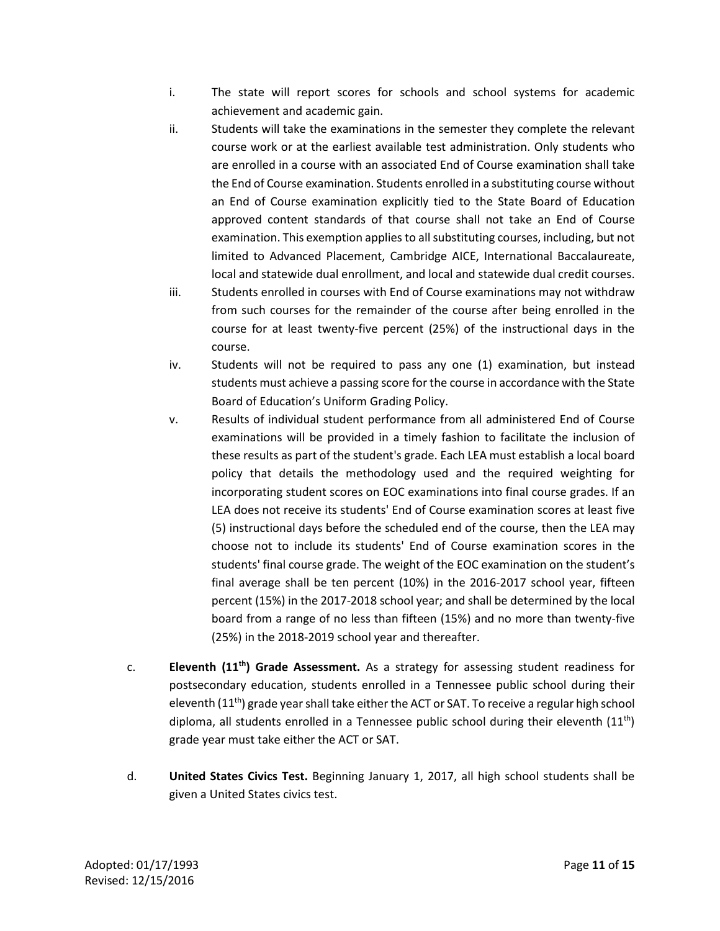- i. The state will report scores for schools and school systems for academic achievement and academic gain.
- ii. Students will take the examinations in the semester they complete the relevant course work or at the earliest available test administration. Only students who are enrolled in a course with an associated End of Course examination shall take the End of Course examination. Students enrolled in a substituting course without an End of Course examination explicitly tied to the State Board of Education approved content standards of that course shall not take an End of Course examination. This exemption applies to all substituting courses, including, but not limited to Advanced Placement, Cambridge AICE, International Baccalaureate, local and statewide dual enrollment, and local and statewide dual credit courses.
- iii. Students enrolled in courses with End of Course examinations may not withdraw from such courses for the remainder of the course after being enrolled in the course for at least twenty-five percent (25%) of the instructional days in the course.
- iv. Students will not be required to pass any one (1) examination, but instead students must achieve a passing score for the course in accordance with the State Board of Education's Uniform Grading Policy.
- v. Results of individual student performance from all administered End of Course examinations will be provided in a timely fashion to facilitate the inclusion of these results as part of the student's grade. Each LEA must establish a local board policy that details the methodology used and the required weighting for incorporating student scores on EOC examinations into final course grades. If an LEA does not receive its students' End of Course examination scores at least five (5) instructional days before the scheduled end of the course, then the LEA may choose not to include its students' End of Course examination scores in the students' final course grade. The weight of the EOC examination on the student's final average shall be ten percent (10%) in the 2016-2017 school year, fifteen percent (15%) in the 2017-2018 school year; and shall be determined by the local board from a range of no less than fifteen (15%) and no more than twenty-five (25%) in the 2018-2019 school year and thereafter.
- c. **Eleventh (11th) Grade Assessment.** As a strategy for assessing student readiness for postsecondary education, students enrolled in a Tennessee public school during their eleventh (11<sup>th</sup>) grade year shall take either the ACT or SAT. To receive a regular high school diploma, all students enrolled in a Tennessee public school during their eleventh  $(11<sup>th</sup>)$ grade year must take either the ACT or SAT.
- d. **United States Civics Test.** Beginning January 1, 2017, all high school students shall be given a United States civics test.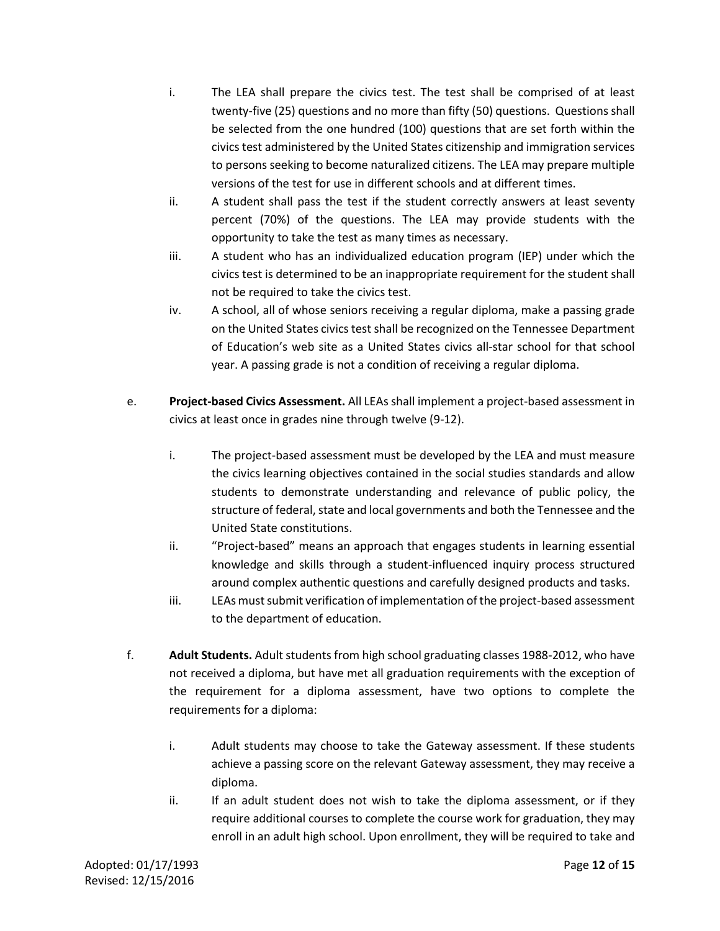- i. The LEA shall prepare the civics test. The test shall be comprised of at least twenty-five (25) questions and no more than fifty (50) questions. Questions shall be selected from the one hundred (100) questions that are set forth within the civics test administered by the United States citizenship and immigration services to persons seeking to become naturalized citizens. The LEA may prepare multiple versions of the test for use in different schools and at different times.
- ii. A student shall pass the test if the student correctly answers at least seventy percent (70%) of the questions. The LEA may provide students with the opportunity to take the test as many times as necessary.
- iii. A student who has an individualized education program (IEP) under which the civics test is determined to be an inappropriate requirement for the student shall not be required to take the civics test.
- iv. A school, all of whose seniors receiving a regular diploma, make a passing grade on the United States civics test shall be recognized on the Tennessee Department of Education's web site as a United States civics all-star school for that school year. A passing grade is not a condition of receiving a regular diploma.
- e. **Project-based Civics Assessment.** All LEAs shall implement a project-based assessment in civics at least once in grades nine through twelve (9-12).
	- i. The project-based assessment must be developed by the LEA and must measure the civics learning objectives contained in the social studies standards and allow students to demonstrate understanding and relevance of public policy, the structure of federal, state and local governments and both the Tennessee and the United State constitutions.
	- ii. "Project-based" means an approach that engages students in learning essential knowledge and skills through a student-influenced inquiry process structured around complex authentic questions and carefully designed products and tasks.
	- iii. LEAs must submit verification of implementation of the project-based assessment to the department of education.
- f. **Adult Students.** Adult students from high school graduating classes 1988-2012, who have not received a diploma, but have met all graduation requirements with the exception of the requirement for a diploma assessment, have two options to complete the requirements for a diploma:
	- i. Adult students may choose to take the Gateway assessment. If these students achieve a passing score on the relevant Gateway assessment, they may receive a diploma.
	- ii. If an adult student does not wish to take the diploma assessment, or if they require additional courses to complete the course work for graduation, they may enroll in an adult high school. Upon enrollment, they will be required to take and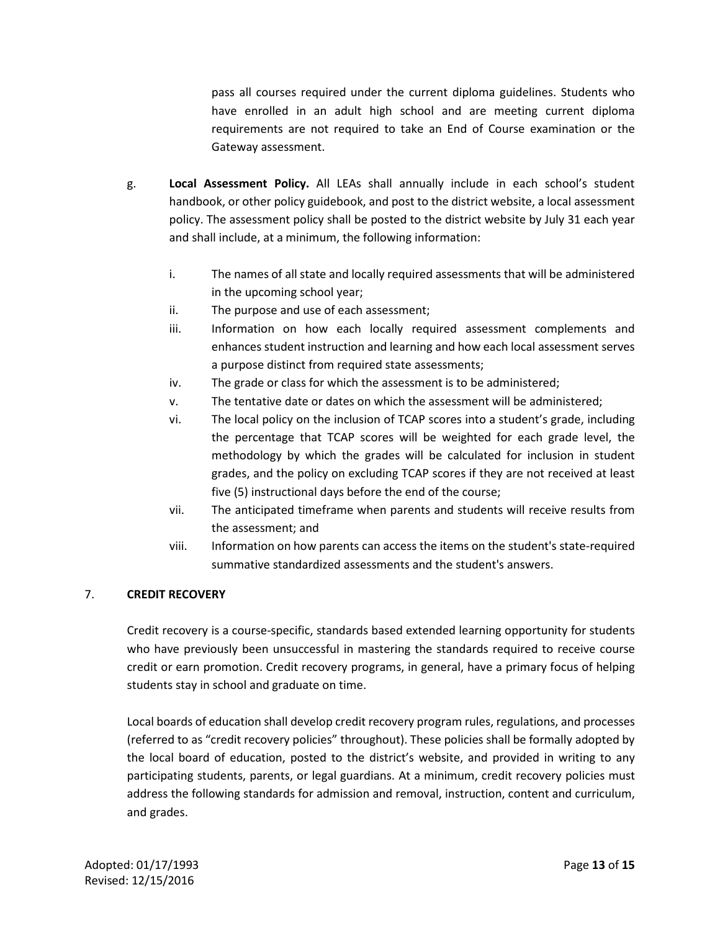pass all courses required under the current diploma guidelines. Students who have enrolled in an adult high school and are meeting current diploma requirements are not required to take an End of Course examination or the Gateway assessment.

- g. **Local Assessment Policy.** All LEAs shall annually include in each school's student handbook, or other policy guidebook, and post to the district website, a local assessment policy. The assessment policy shall be posted to the district website by July 31 each year and shall include, at a minimum, the following information:
	- i. The names of all state and locally required assessments that will be administered in the upcoming school year;
	- ii. The purpose and use of each assessment;
	- iii. Information on how each locally required assessment complements and enhances student instruction and learning and how each local assessment serves a purpose distinct from required state assessments;
	- iv. The grade or class for which the assessment is to be administered;
	- v. The tentative date or dates on which the assessment will be administered;
	- vi. The local policy on the inclusion of TCAP scores into a student's grade, including the percentage that TCAP scores will be weighted for each grade level, the methodology by which the grades will be calculated for inclusion in student grades, and the policy on excluding TCAP scores if they are not received at least five (5) instructional days before the end of the course;
	- vii. The anticipated timeframe when parents and students will receive results from the assessment; and
	- viii. Information on how parents can access the items on the student's state-required summative standardized assessments and the student's answers.

## 7. **CREDIT RECOVERY**

Credit recovery is a course-specific, standards based extended learning opportunity for students who have previously been unsuccessful in mastering the standards required to receive course credit or earn promotion. Credit recovery programs, in general, have a primary focus of helping students stay in school and graduate on time.

Local boards of education shall develop credit recovery program rules, regulations, and processes (referred to as "credit recovery policies" throughout). These policies shall be formally adopted by the local board of education, posted to the district's website, and provided in writing to any participating students, parents, or legal guardians. At a minimum, credit recovery policies must address the following standards for admission and removal, instruction, content and curriculum, and grades.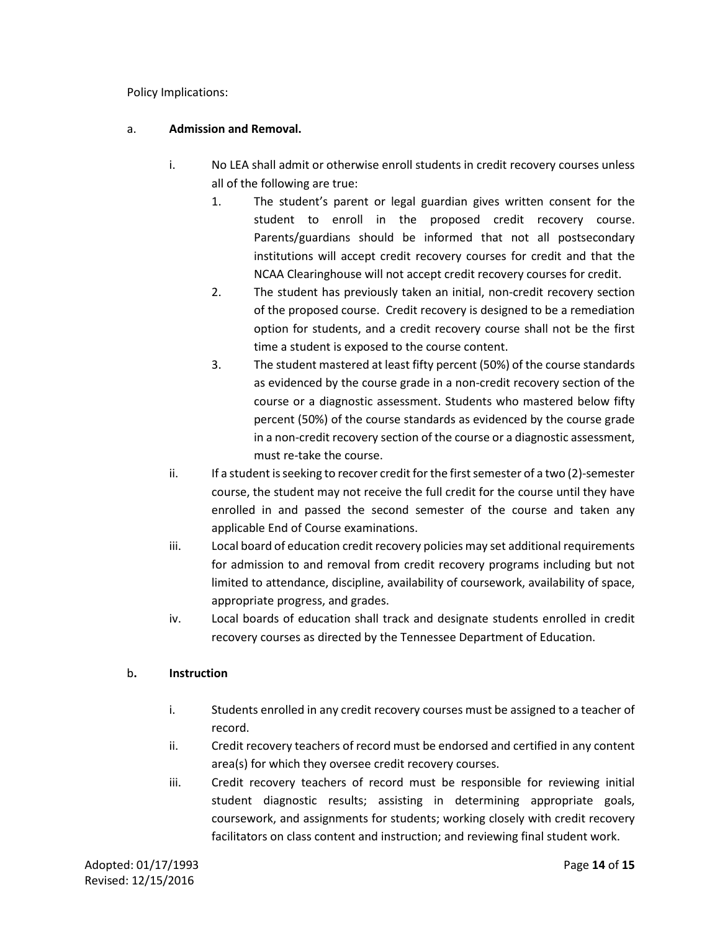Policy Implications:

## a. **Admission and Removal.**

- i. No LEA shall admit or otherwise enroll students in credit recovery courses unless all of the following are true:
	- 1. The student's parent or legal guardian gives written consent for the student to enroll in the proposed credit recovery course. Parents/guardians should be informed that not all postsecondary institutions will accept credit recovery courses for credit and that the NCAA Clearinghouse will not accept credit recovery courses for credit.
	- 2. The student has previously taken an initial, non-credit recovery section of the proposed course. Credit recovery is designed to be a remediation option for students, and a credit recovery course shall not be the first time a student is exposed to the course content.
	- 3. The student mastered at least fifty percent (50%) of the course standards as evidenced by the course grade in a non-credit recovery section of the course or a diagnostic assessment. Students who mastered below fifty percent (50%) of the course standards as evidenced by the course grade in a non-credit recovery section of the course or a diagnostic assessment, must re-take the course.
- ii. If a student isseeking to recover credit for the first semester of a two (2)-semester course, the student may not receive the full credit for the course until they have enrolled in and passed the second semester of the course and taken any applicable End of Course examinations.
- iii. Local board of education credit recovery policies may set additional requirements for admission to and removal from credit recovery programs including but not limited to attendance, discipline, availability of coursework, availability of space, appropriate progress, and grades.
- iv. Local boards of education shall track and designate students enrolled in credit recovery courses as directed by the Tennessee Department of Education.

## b**. Instruction**

- i. Students enrolled in any credit recovery courses must be assigned to a teacher of record.
- ii. Credit recovery teachers of record must be endorsed and certified in any content area(s) for which they oversee credit recovery courses.
- iii. Credit recovery teachers of record must be responsible for reviewing initial student diagnostic results; assisting in determining appropriate goals, coursework, and assignments for students; working closely with credit recovery facilitators on class content and instruction; and reviewing final student work.